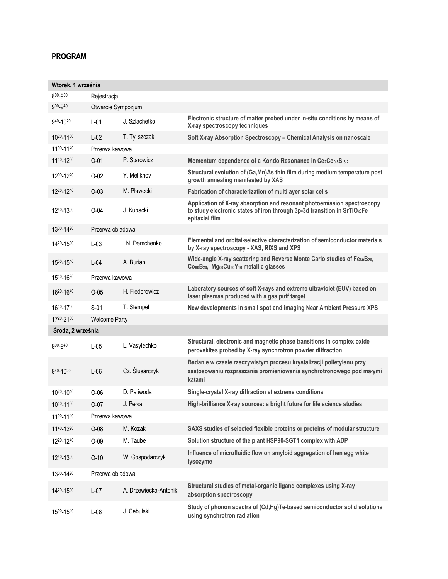## **PROGRAM**

| Wtorek, 1 września  |                      |                       |                                                                                                                                                                       |  |  |
|---------------------|----------------------|-----------------------|-----------------------------------------------------------------------------------------------------------------------------------------------------------------------|--|--|
| 800-900             | Rejestracja          |                       |                                                                                                                                                                       |  |  |
| 900 <sub>-940</sub> | Otwarcie Sympozjum   |                       |                                                                                                                                                                       |  |  |
| 940-1020            | $L-01$               | J. Szlachetko         | Electronic structure of matter probed under in-situ conditions by means of<br>X-ray spectroscopy techniques                                                           |  |  |
| 1020-1100           | $L-02$               | T. Tyliszczak         | Soft X-ray Absorption Spectroscopy - Chemical Analysis on nanoscale                                                                                                   |  |  |
| 1100-1140           | Przerwa kawowa       |                       |                                                                                                                                                                       |  |  |
| 1140-1200           | $O - 01$             | P. Starowicz          | Momentum dependence of a Kondo Resonance in Ce2Co0.8Si3.2                                                                                                             |  |  |
| 1200-1220           | $O-02$               | Y. Melikhov           | Structural evolution of (Ga, Mn) As thin film during medium temperature post<br>growth annealing manifested by XAS                                                    |  |  |
| 1220-1240           | $O-03$               | M. Pławecki           | Fabrication of characterization of multilayer solar cells                                                                                                             |  |  |
| 1240-1300           | $O-04$               | J. Kubacki            | Application of X-ray absorption and resonant photoemission spectroscopy<br>to study electronic states of iron through 3p-3d transition in SrTiO3:Fe<br>epitaxial film |  |  |
| 1300-1420           | Przerwa obiadowa     |                       |                                                                                                                                                                       |  |  |
| 1420-1500           | $L-03$               | I.N. Demchenko        | Elemental and orbital-selective characterization of semiconductor materials<br>by X-ray spectroscopy - XAS, RIXS and XPS                                              |  |  |
| 1500-1540           | $L - 04$             | A. Burian             | Wide-angle X-ray scattering and Reverse Monte Carlo studies of FesoB20,<br>Co80B20, Mg60Cu30Y10 metallic glasses                                                      |  |  |
| 1540-1620           | Przerwa kawowa       |                       |                                                                                                                                                                       |  |  |
| 1620-1640           | $O-0.5$              | H. Fiedorowicz        | Laboratory sources of soft X-rays and extreme ultraviolet (EUV) based on<br>laser plasmas produced with a gas puff target                                             |  |  |
| 1640-1700           | $S-01$               | T. Stempel            | New developments in small spot and imaging Near Ambient Pressure XPS                                                                                                  |  |  |
| 1720-2100           | <b>Welcome Party</b> |                       |                                                                                                                                                                       |  |  |
| Środa, 2 września   |                      |                       |                                                                                                                                                                       |  |  |
| 900_940             | $L-05$               | L. Vasylechko         | Structural, electronic and magnetic phase transitions in complex oxide<br>perovskites probed by X-ray synchrotron powder diffraction                                  |  |  |
| 940-1020            | $L-06$               | Cz. Ślusarczyk        | Badanie w czasie rzeczywistym procesu krystalizacji polietylenu przy<br>zastosowaniu rozpraszania promieniowania synchrotronowego pod małymi<br>kątami                |  |  |
| 1020-1040           | $O-06$               | D. Paliwoda           | Single-crystal X-ray diffraction at extreme conditions                                                                                                                |  |  |
| 1040-1100           | $O-07$               | J. Pełka              | High-brilliance X-ray sources: a bright future for life science studies                                                                                               |  |  |
| 1100-1140           | Przerwa kawowa       |                       |                                                                                                                                                                       |  |  |
| 1140-1220           | $O-08$               | M. Kozak              | SAXS studies of selected flexible proteins or proteins of modular structure                                                                                           |  |  |
| 1220-1240           | $O-09$               | M. Taube              | Solution structure of the plant HSP90-SGT1 complex with ADP                                                                                                           |  |  |
| 1240-1300           | $O-10$               | W. Gospodarczyk       | Influence of microfluidic flow on amyloid aggregation of hen egg white<br><b>lysozyme</b>                                                                             |  |  |
| 1300-1420           | Przerwa obiadowa     |                       |                                                                                                                                                                       |  |  |
| 1420-1500           | $L-07$               | A. Drzewiecka-Antonik | Structural studies of metal-organic ligand complexes using X-ray<br>absorption spectroscopy                                                                           |  |  |
| 1500-1540           | $L-08$               | J. Cebulski           | Study of phonon spectra of (Cd,Hg)Te-based semiconductor solid solutions<br>using synchrotron radiation                                                               |  |  |